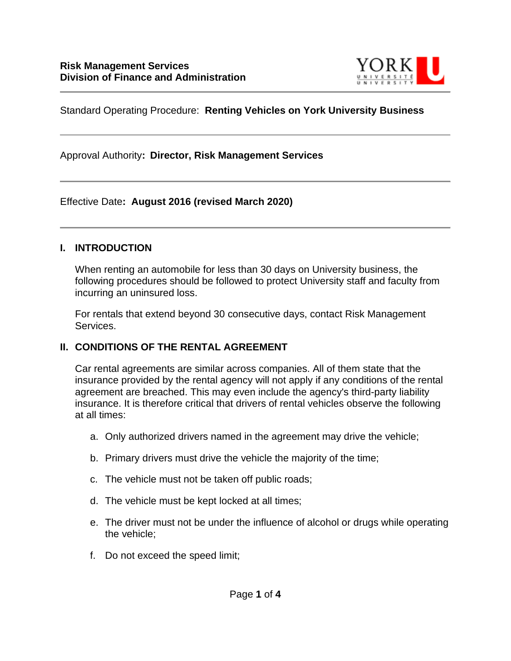

### Standard Operating Procedure: **Renting Vehicles on York University Business**

Approval Authority**: Director, Risk Management Services**

### Effective Date**: August 2016 (revised March 2020)**

#### **I. INTRODUCTION**

When renting an automobile for less than 30 days on University business, the following procedures should be followed to protect University staff and faculty from incurring an uninsured loss.

For rentals that extend beyond 30 consecutive days, contact Risk Management Services.

### **II. CONDITIONS OF THE RENTAL AGREEMENT**

Car rental agreements are similar across companies. All of them state that the insurance provided by the rental agency will not apply if any conditions of the rental agreement are breached. This may even include the agency's third-party liability insurance. It is therefore critical that drivers of rental vehicles observe the following at all times:

- a. Only authorized drivers named in the agreement may drive the vehicle;
- b. Primary drivers must drive the vehicle the majority of the time;
- c. The vehicle must not be taken off public roads;
- d. The vehicle must be kept locked at all times;
- e. The driver must not be under the influence of alcohol or drugs while operating the vehicle;
- f. Do not exceed the speed limit;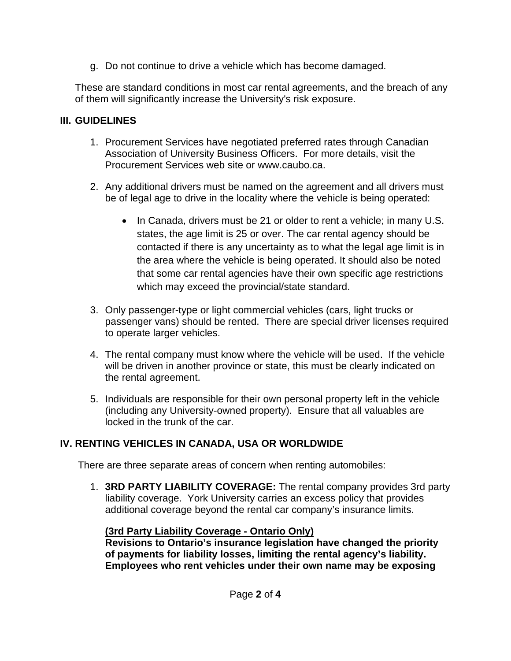g. Do not continue to drive a vehicle which has become damaged.

These are standard conditions in most car rental agreements, and the breach of any of them will significantly increase the University's risk exposure.

### **III. GUIDELINES**

- 1. Procurement Services have negotiated preferred rates through Canadian Association of University Business Officers. For more details, visit the Procurement Services web site or www.caubo.ca.
- 2. Any additional drivers must be named on the agreement and all drivers must be of legal age to drive in the locality where the vehicle is being operated:
	- In Canada, drivers must be 21 or older to rent a vehicle; in many U.S. states, the age limit is 25 or over. The car rental agency should be contacted if there is any uncertainty as to what the legal age limit is in the area where the vehicle is being operated. It should also be noted that some car rental agencies have their own specific age restrictions which may exceed the provincial/state standard.
- 3. Only passenger-type or light commercial vehicles (cars, light trucks or passenger vans) should be rented. There are special driver licenses required to operate larger vehicles.
- 4. The rental company must know where the vehicle will be used. If the vehicle will be driven in another province or state, this must be clearly indicated on the rental agreement.
- 5. Individuals are responsible for their own personal property left in the vehicle (including any University-owned property). Ensure that all valuables are locked in the trunk of the car.

# **IV. RENTING VEHICLES IN CANADA, USA OR WORLDWIDE**

There are three separate areas of concern when renting automobiles:

1. **3RD PARTY LIABILITY COVERAGE:** The rental company provides 3rd party liability coverage. York University carries an excess policy that provides additional coverage beyond the rental car company's insurance limits.

# **(3rd Party Liability Coverage - Ontario Only)**

**Revisions to Ontario's insurance legislation have changed the priority of payments for liability losses, limiting the rental agency's liability. Employees who rent vehicles under their own name may be exposing**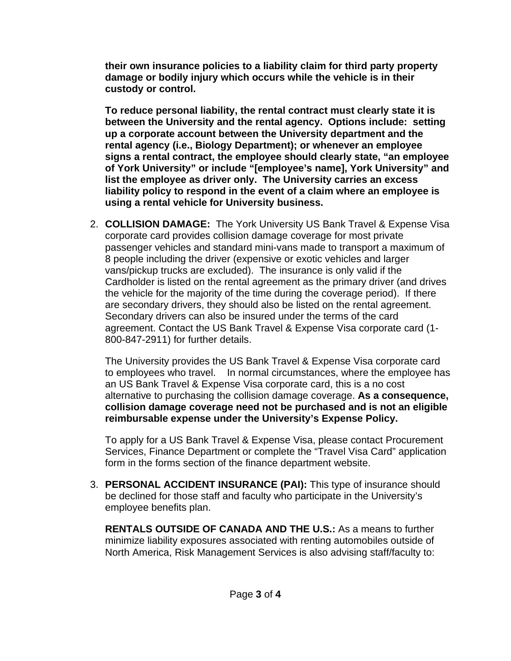**their own insurance policies to a liability claim for third party property damage or bodily injury which occurs while the vehicle is in their custody or control.** 

**To reduce personal liability, the rental contract must clearly state it is between the University and the rental agency. Options include: setting up a corporate account between the University department and the rental agency (i.e., Biology Department); or whenever an employee signs a rental contract, the employee should clearly state, "an employee of York University" or include "[employee's name], York University" and list the employee as driver only. The University carries an excess liability policy to respond in the event of a claim where an employee is using a rental vehicle for University business.**

2. **COLLISION DAMAGE:** The York University US Bank Travel & Expense Visa corporate card provides collision damage coverage for most private passenger vehicles and standard mini-vans made to transport a maximum of 8 people including the driver (expensive or exotic vehicles and larger vans/pickup trucks are excluded). The insurance is only valid if the Cardholder is listed on the rental agreement as the primary driver (and drives the vehicle for the majority of the time during the coverage period). If there are secondary drivers, they should also be listed on the rental agreement. Secondary drivers can also be insured under the terms of the card agreement. Contact the US Bank Travel & Expense Visa corporate card (1- 800-847-2911) for further details.

The University provides the US Bank Travel & Expense Visa corporate card to employees who travel. In normal circumstances, where the employee has an US Bank Travel & Expense Visa corporate card, this is a no cost alternative to purchasing the collision damage coverage. **As a consequence, collision damage coverage need not be purchased and is not an eligible reimbursable expense under the University's Expense Policy.**

To apply for a US Bank Travel & Expense Visa, please contact Procurement Services, Finance Department or complete the "Travel Visa Card" application form in the forms section of the finance department website.

3. **PERSONAL ACCIDENT INSURANCE (PAI):** This type of insurance should be declined for those staff and faculty who participate in the University's employee benefits plan.

**RENTALS OUTSIDE OF CANADA AND THE U.S.:** As a means to further minimize liability exposures associated with renting automobiles outside of North America, Risk Management Services is also advising staff/faculty to: